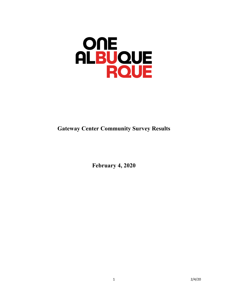# **ONE ALBUQUE**

# **Gateway Center Community Survey Results**

**February 4, 2020**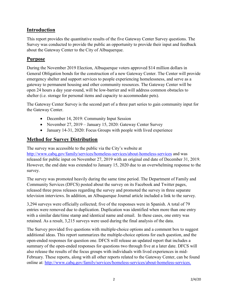# **Introduction**

This report provides the quantitative results of the five Gateway Center Survey questions. The Survey was conducted to provide the public an opportunity to provide their input and feedback about the Gateway Center to the City of Albuquerque.

# **Purpose**

During the November 2019 Election, Albuquerque voters approved \$14 million dollars in General Obligation bonds for the construction of a new Gateway Center. The Center will provide emergency shelter and support services to people experiencing homelessness, and serve as a gateway to permanent housing and other community resources. The Gateway Center will be open 24 hours a day year-round, will be low-barrier and will address common obstacles to shelter (i.e. storage for personal items and capacity to accommodate pets).

The Gateway Center Survey is the second part of a three part series to gain community input for the Gateway Center.

- December 14, 2019: Community Input Session
- November 27, 2019 January 15, 2020: Gateway Center Survey
- January 14-31, 2020: Focus Groups with people with lived experience

# **Method for Survey Distribution**

The survey was accessible to the public via the City's website at <http://www.cabq.gov/family/services/homeless-services/about-homeless-services> and was released for public input on November 27, 2019 with an original end date of December 31, 2019. However, the end date was extended to January 15, 2020 due to an overwhelming response to the survey.

The survey was promoted heavily during the same time period. The Department of Family and Community Services (DFCS) posted about the survey on its Facebook and Twitter pages, released three press releases regarding the survey and promoted the survey in three separate television interviews. In addition, an Albuquerque Journal article included a link to the survey.

3,294 surveys were officially collected; five of the responses were in Spanish. A total of 79 entries were removed due to duplication. Duplication was identified when more than one entry with a similar date/time stamp and identical name and email. In these cases, one entry was retained. As a result, 3,215 surveys were used during the final analysis of the data.

The Survey provided five questions with multiple-choice options and a comment box to suggest additional ideas. This report summarizes the multiple-choice options for each question, and the open-ended responses for question one. DFCS will release an updated report that includes a summary of the open-ended responses for questions two through five at a later date. DFCS will also release the results of the focus groups with individuals with lived experiences in mid-February. These reports, along with all other reports related to the Gateway Center, can be found online at: [http://www.cabq.gov/family/services/homeless-services/about-homeless-services.](http://www.cabq.gov/family/services/homeless-services/about-homeless-services)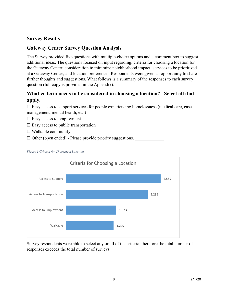# **Survey Results**

# **Gateway Center Survey Question Analysis**

The Survey provided five questions with multiple-choice options and a comment box to suggest additional ideas. The questions focused on input regarding: criteria for choosing a location for the Gateway Center; consideration to minimize neighborhood impact; services to be prioritized at a Gateway Center; and location preference. Respondents were given an opportunity to share further thoughts and suggestions. What follows is a summary of the responses to each survey question (full copy is provided in the Appendix).

# **What criteria needs to be considered in choosing a location? Select all that apply.**

 $\Box$  Easy access to support services for people experiencing homelessness (medical care, case management, mental health, etc.)

- $\square$  Easy access to employment
- $\Box$  Easy access to public transportation
- $\Box$  Walkable community
- $\Box$  Other (open ended) Please provide priority suggestions.



### *Figure 1 Criteria for Choosing a Location*

Survey respondents were able to select any or all of the criteria, therefore the total number of responses exceeds the total number of surveys.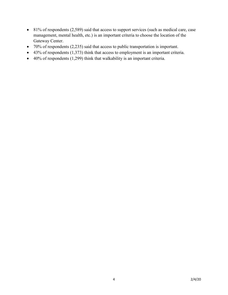- 81% of respondents (2,589) said that access to support services (such as medical care, case management, mental health, etc.) is an important criteria to choose the location of the Gateway Center.
- 70% of respondents (2,235) said that access to public transportation is important.
- $\bullet$  43% of respondents (1,373) think that access to employment is an important criteria.
- $\bullet$  40% of respondents (1,299) think that walkability is an important criteria.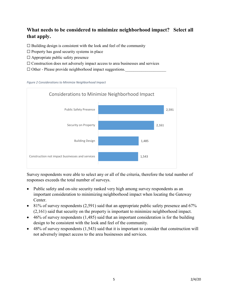# **What needs to be considered to minimize neighborhood impact? Select all that apply.**

 $\Box$  Building design is consistent with the look and feel of the community

- $\Box$  Property has good security systems in place
- $\Box$  Appropriate public safety presence
- ☐ Construction does not adversely impact access to area businesses and services
- $\Box$  Other Please provide neighborhood impact suggestions.

### *Figure 2 Considerations to Minimize Neighborhood Impact*



Survey respondents were able to select any or all of the criteria, therefore the total number of responses exceeds the total number of surveys.

- Public safety and on-site security ranked very high among survey respondents as an important consideration to minimizing neighborhood impact when locating the Gateway Center.
- 81% of survey respondents (2,591) said that an appropriate public safety presence and 67% (2,161) said that security on the property is important to minimize neighborhood impact.
- $\bullet$  46% of survey respondents (1,485) said that an important consideration is for the building design to be consistent with the look and feel of the community.
- $\bullet$  48% of survey respondents  $(1,543)$  said that it is important to consider that construction will not adversely impact access to the area businesses and services.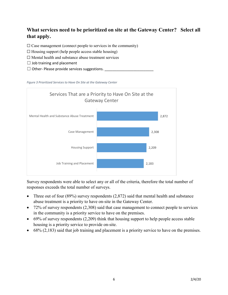# **What services need to be prioritized on site at the Gateway Center? Select all that apply.**

 $\Box$  Case management (connect people to services in the community)

- $\Box$  Housing support (help people access stable housing)
- ☐ Mental health and substance abuse treatment services
- $\Box$  Job training and placement
- $\Box$  Other- Please provide services suggestions.





Survey respondents were able to select any or all of the criteria, therefore the total number of responses exceeds the total number of surveys.

- Three out of four  $(89%)$  survey respondents  $(2,872)$  said that mental health and substance abuse treatment is a priority to have on-site in the Gateway Center.
- 72% of survey respondents (2,308) said that case management to connect people to services in the community is a priority service to have on the premises.
- 69% of survey respondents (2,209) think that housing support to help people access stable housing is a priority service to provide on-site.
- 68% (2,183) said that job training and placement is a priority service to have on the premises.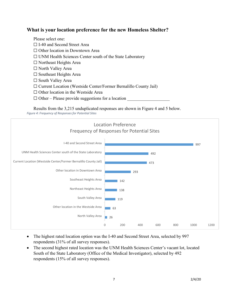# **What is your location preference for the new Homeless Shelter?**

Please select one: □ I-40 and Second Street Area ☐ Other location in Downtown Area ☐ UNM Health Sciences Center south of the State Laboratory ☐ Northeast Heights Area ☐ North Valley Area  $\Box$  Southeast Heights Area ☐ South Valley Area ☐ Current Location (Westside Center/Former Bernalillo County Jail) ☐ Other location in the Westside Area  $\Box$  Other – Please provide suggestions for a location

Results from the 3,215 unduplicated responses are shown in Figure 4 and 5 below. *Figure 4: Frequency of Responses for Potential Sites*



- The highest rated location option was the I-40 and Second Street Area, selected by 997 respondents (31% of all survey responses).
- The second highest rated location was the UNM Health Sciences Center's vacant lot, located South of the State Laboratory (Office of the Medical Investigator), selected by 492 respondents (15% of all survey responses).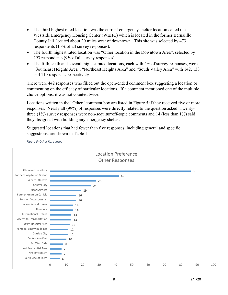- The third highest rated location was the current emergency shelter location called the Westside Emergency Housing Center (WEHC) which is located in the former Bernalillo County Jail, located about 20 miles west of downtown. This site was selected by 473 respondents (15% of all survey responses).
- The fourth highest rated location was "Other location in the Downtown Area", selected by 293 respondents (9% of all survey responses).
- The fifth, sixth and seventh highest rated locations, each with 4% of survey responses, were "Southeast Heights Area", "Northeast Heights Area" and "South Valley Area" with 142, 138 and 119 responses respectively.

There were 442 responses who filled out the open-ended comment box suggesting a location or commenting on the efficacy of particular locations. If a comment mentioned one of the multiple choice options, it was not counted twice.

Locations written in the "Other" comment box are listed in Figure 5 if they received five or more responses. Nearly all (99%) of responses were directly related to the question asked. Twentythree  $(1\%)$  survey responses were non-sequitur/off-topic comments and 14 (less than 1%) said they disagreed with building any emergency shelter.

Suggested locations that had fewer than five responses, including general and specific suggestions, are shown in Table 1.



8 2/4/20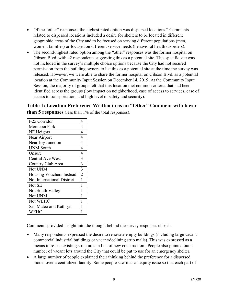- Of the "other" responses, the highest rated option was dispersed locations." Comments related to dispersed locations included a desire for shelters to be located in different geographic areas of the City and to be focused on serving different populations (men, women, families) or focused on different service needs (behavioral health disorders).
- The second-highest rated option among the "other" responses was the former hospital on Gibson Blvd, with 42 respondents suggesting this as a potential site. This specific site was not included in the survey's multiple choice options because the City had not secured permission from the building owners to list this as a potential site at the time the survey was released. However, we were able to share the former hospital on Gibson Blvd. as a potential location at the Community Input Session on December 14, 2019. At the Community Input Session, the majority of groups felt that this location met common criteria that had been identified across the groups (low impact on neighborhood, ease of access to services, ease of access to transportation, and high level of safety and security).

**Table 1: Location Preference Written in as an "Other" Comment with fewer than 5 responses** (less than 1% of the total responses).

| I-25 Corridor              | 4              |
|----------------------------|----------------|
| Montessa Park              | 4              |
| NE Heights                 | 4              |
| Near Airport               | 4              |
| Near Joy Junction          | 4              |
| <b>UNM South</b>           | 4              |
| Unsure                     | 4              |
| <b>Central Ave West</b>    | 3              |
| Country Club Area          | $\overline{3}$ |
| Not UNM                    | $\overline{3}$ |
| Housing Vouchers Instead   | $\overline{2}$ |
| Not International District | 1              |
| Not SE                     | 1              |
| Not South Valley           | $\mathbf{1}$   |
| Not UNM                    | $\mathbf{1}$   |
| Not WEHC                   | 1              |
| San Mateo and Kathryn      | 1              |
| <b>WEHC</b>                | 1              |

Comments provided insight into the thought behind the survey responses chosen.

- Many respondents expressed the desire to renovate empty buildings (including large vacant commercial industrial buildings or vacant/declining strip malls). This was expressed as a means to re-use existing structures in lieu of new construction. People also pointed out a number of vacant lots around the City that could be put to use for an emergency shelter.
- A large number of people explained their thinking behind the preference for a dispersed model over a centralized facility. Some people saw it as an equity issue so that each part of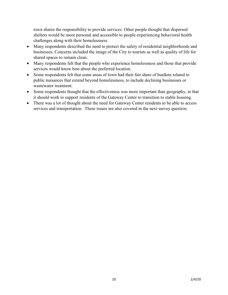town shares the responsibility to provide services. Other people thought that dispersed shelters would be more personal and accessible to people experiencing behavioral health challenges along with their homelessness.

- Many respondents described the need to protect the safety of residential neighborhoods and businesses. Concerns included the image of the City to tourists as well as quality of life for shared spaces to remain clean.
- Many respondents felt that the people who experience homelessness and those that provide services would know best about the preferred location.
- Some respondents felt that some areas of town had their fair share of burdens related to public nuisances that extend beyond homelessness, to include declining businesses or wastewater treatment.
- Some respondents thought that the effectiveness was more important than geography, in that it should work to support residents of the Gateway Center to transition to stable housing.
- There was a lot of thought about the need for Gateway Center residents to be able to access services and transportation. These issues are also covered in the next survey question.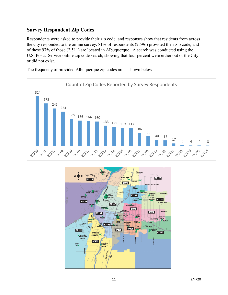# **Survey Respondent Zip Codes**

Respondents were asked to provide their zip code, and responses show that residents from across the city responded to the online survey. 81% of respondents (2,596) provided their zip code, and of these 97% of those (2,511) are located in Albuquerque. A search was conducted using the U.S. Postal Service online zip code search, showing that four percent were either out of the City or did not exist.

Count of Zip Codes Reported by Survey Respondents 324 278 245 224 178 166 164 160 133 125 119 117 86 65 40 37  $\frac{17}{1}$  5 4 4 3 86 SIL20 87108 **1216** 87102 87106 , 511,0 g/101 g/11,2 g/12, g/12, g/104 g/109 g/12, g/105 87113 8722 8723 8725 87199 87154